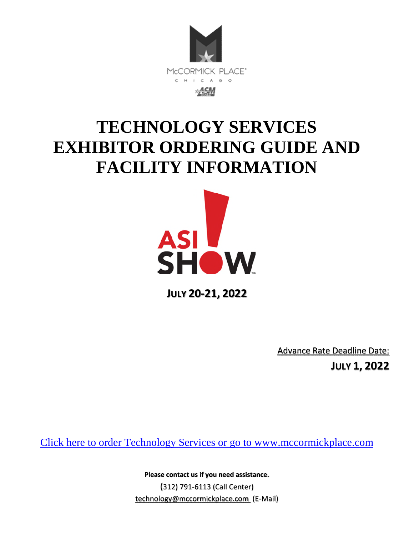

# **TECHNOLOGY SERVICES EXHIBITOR ORDERING GUIDE AND FACILITY INFORMATION**



**JULY 20-21, 2022** 

Advance Rate Deadline Date:

**JULY 1, 2022** 

[Click here to order Technology Services or go to www.mccormickplace.com](http://mpea-web.ungerboeck.com/coe/coe_p1_all.aspx?oc=10&cc=SOP-COE-FORM)

**Please contact us if you need assistance.**  (312) 791-6113 (Call Center) [technology@mccormickplace.com](mailto:technology@mccormickplace.com) (E-Mail)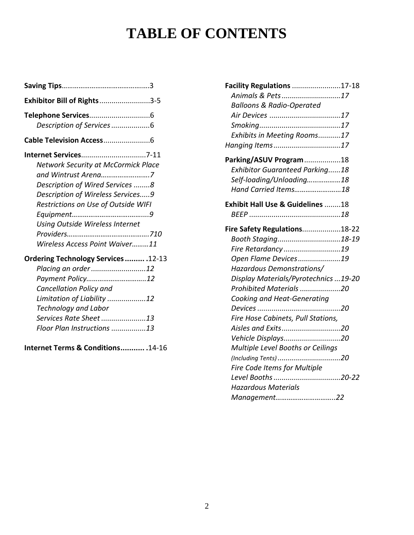# **TABLE OF CONTENTS**

| Exhibitor Bill of Rights3-5                |
|--------------------------------------------|
|                                            |
| Description of Services 6                  |
|                                            |
|                                            |
| <b>Network Security at McCormick Place</b> |
| and Wintrust Arena7                        |
| Description of Wired Services 8            |
| Description of Wireless Services9          |
| Restrictions on Use of Outside WIFI        |
|                                            |
| <b>Using Outside Wireless Internet</b>     |
|                                            |
| Wireless Access Point Waiver11             |
| Ordering Technology Services . 12-13       |
| Placing an order12                         |
| Payment Policy12                           |
| Cancellation Policy and                    |
| Limitation of Liability 12                 |
| <b>Technology and Labor</b>                |
| Services Rate Sheet13                      |
| Floor Plan Instructions 13                 |

**Internet Terms & Conditions ........... .**14-16

| <b>Facility Regulations 17-18</b>           |    |
|---------------------------------------------|----|
| Animals & Pets17                            |    |
| <b>Balloons &amp; Radio-Operated</b>        |    |
|                                             |    |
|                                             |    |
| Exhibits in Meeting Rooms17                 |    |
| Hanging Items17                             |    |
| Parking/ASUV Program18                      |    |
| <b>Exhibitor Guaranteed Parking18</b>       |    |
| Self-loading/Unloading18                    |    |
| Hand Carried Items18                        |    |
| <b>Exhibit Hall Use &amp; Guidelines 18</b> |    |
|                                             |    |
| Fire Safety Regulations18-22                |    |
| Booth Staging18-19                          |    |
| Fire Retardancy 19                          |    |
| Open Flame Devices19                        |    |
| Hazardous Demonstrations/                   |    |
| Display Materials/Pyrotechnics 19-20        |    |
| Prohibited Materials 20                     |    |
| Cooking and Heat-Generating                 |    |
| Devices                                     | 20 |
| Fire Hose Cabinets, Pull Stations,          |    |
| Aisles and Exits20                          |    |
| Vehicle Displays20                          |    |
| Multiple Level Booths or Ceilings           |    |
|                                             |    |
| Fire Code Items for Multiple                |    |
| Level Booths 20-22                          |    |
| <b>Hazardous Materials</b>                  |    |
| Management22                                |    |
|                                             |    |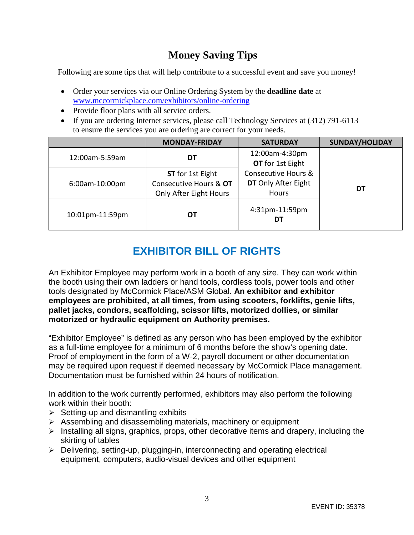# **Money Saving Tips**

Following are some tips that will help contribute to a successful event and save you money!

- Order your services via our Online Ordering System by the **deadline date** at [www.mccormickplace.com/exhibitors/online-ordering](http://www.mccormickplace.com/exhibitors/online-ordering)
- Provide floor plans with all service orders.
- If you are ordering Internet services, please call Technology Services at (312) 791-6113 to ensure the services you are ordering are correct for your needs.

|                       | <b>MONDAY-FRIDAY</b>                                                               | <b>SATURDAY</b>                                                       | <b>SUNDAY/HOLIDAY</b> |
|-----------------------|------------------------------------------------------------------------------------|-----------------------------------------------------------------------|-----------------------|
| 12:00am-5:59am        | DT                                                                                 | 12:00am-4:30pm<br>OT for 1st Eight                                    |                       |
| 6:00am-10:00pm        | <b>ST</b> for 1st Eight<br>Consecutive Hours & OT<br><b>Only After Eight Hours</b> | <b>Consecutive Hours &amp;</b><br>DT Only After Eight<br><b>Hours</b> | DT                    |
| 10:01pm-11:59pm<br>ОТ |                                                                                    | 4:31pm-11:59pm<br>D٦                                                  |                       |

# **EXHIBITOR BILL OF RIGHTS**

An Exhibitor Employee may perform work in a booth of any size. They can work within the booth using their own ladders or hand tools, cordless tools, power tools and other tools designated by McCormick Place/ASM Global. **An exhibitor and exhibitor employees are prohibited, at all times, from using scooters, forklifts, genie lifts, pallet jacks, condors, scaffolding, scissor lifts, motorized dollies, or similar motorized or hydraulic equipment on Authority premises.** 

"Exhibitor Employee" is defined as any person who has been employed by the exhibitor as a full-time employee for a minimum of 6 months before the show's opening date. Proof of employment in the form of a W-2, payroll document or other documentation may be required upon request if deemed necessary by McCormick Place management. Documentation must be furnished within 24 hours of notification.

In addition to the work currently performed, exhibitors may also perform the following work within their booth:

- $\triangleright$  Setting-up and dismantling exhibits
- $\triangleright$  Assembling and disassembling materials, machinery or equipment
- $\triangleright$  Installing all signs, graphics, props, other decorative items and drapery, including the skirting of tables
- $\triangleright$  Delivering, setting-up, plugging-in, interconnecting and operating electrical equipment, computers, audio-visual devices and other equipment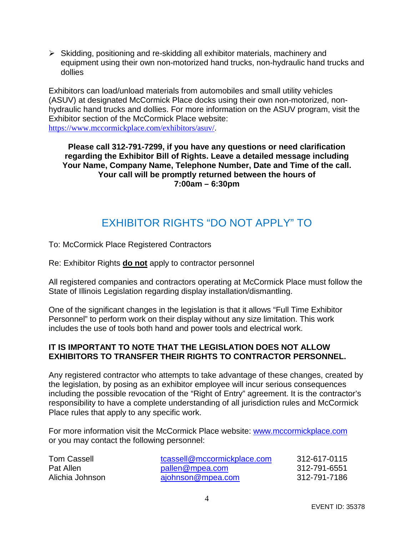Skidding, positioning and re-skidding all exhibitor materials, machinery and equipment using their own non-motorized hand trucks, non-hydraulic hand trucks and dollies

Exhibitors can load/unload materials from automobiles and small utility vehicles (ASUV) at designated McCormick Place docks using their own non-motorized, nonhydraulic hand trucks and dollies. For more information on the ASUV program, visit the Exhibitor section of the McCormick Place website: [https://www.mccormickplace.com/exhibitors/asuv/](https://nam12.safelinks.protection.outlook.com/?url=https%3A%2F%2Fwww.mccormickplace.com%2Fexhibitors%2Fasuv%2F&data=04%7C01%7C%7C6e8d7a7785d84b75b53008d9f620ba73%7C996017b1821f44dbb99fafc16f73f35a%7C0%7C0%7C637811442712197687%7CUnknown%7CTWFpbGZsb3d8eyJWIjoiMC4wLjAwMDAiLCJQIjoiV2luMzIiLCJBTiI6Ik1haWwiLCJXVCI6Mn0%3D%7C3000&sdata=JYnE6plAWoJH8IX462P0Sxj%2FVS48V9Je5fU5OnYUQRo%3D&reserved=0).

**Please call 312-791-7299, if you have any questions or need clarification** 

**regarding the Exhibitor Bill of Rights. Leave a detailed message including Your Name, Company Name, Telephone Number, Date and Time of the call. Your call will be promptly returned between the hours of 7:00am – 6:30pm** 

# EXHIBITOR RIGHTS "DO NOT APPLY" TO

To: McCormick Place Registered Contractors

Re: Exhibitor Rights **do not** apply to contractor personnel

All registered companies and contractors operating at McCormick Place must follow the State of Illinois Legislation regarding display installation/dismantling.

One of the significant changes in the legislation is that it allows "Full Time Exhibitor Personnel" to perform work on their display without any size limitation. This work includes the use of tools both hand and power tools and electrical work.

### **IT IS IMPORTANT TO NOTE THAT THE LEGISLATION DOES NOT ALLOW EXHIBITORS TO TRANSFER THEIR RIGHTS TO CONTRACTOR PERSONNEL.**

Any registered contractor who attempts to take advantage of these changes, created by the legislation, by posing as an exhibitor employee will incur serious consequences including the possible revocation of the "Right of Entry" agreement. It is the contractor's responsibility to have a complete understanding of all jurisdiction rules and McCormick Place rules that apply to any specific work.

For more information visit the McCormick Place website: [www.mccormickplace.com](http://www.mccormickplace.com/)  or you may contact the following personnel:

| <b>Tom Cassell</b> | tcassell@mccormickplace.com | 312-617-0115 |
|--------------------|-----------------------------|--------------|
| Pat Allen          | pallen@mpea.com             | 312-791-6551 |
| Alichia Johnson    | ajohnson@mpea.com           | 312-791-7186 |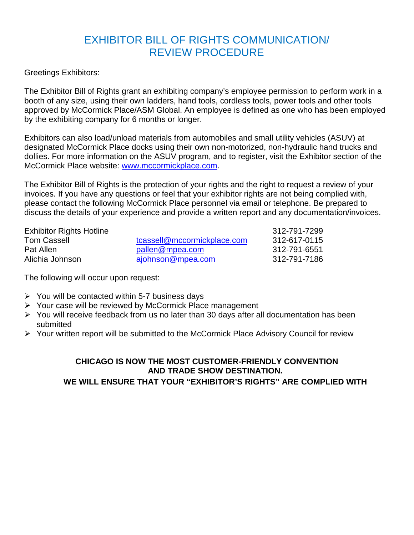# EXHIBITOR BILL OF RIGHTS COMMUNICATION/ REVIEW PROCEDURE

Greetings Exhibitors:

The Exhibitor Bill of Rights grant an exhibiting company's employee permission to perform work in a booth of any size, using their own ladders, hand tools, cordless tools, power tools and other tools approved by McCormick Place/ASM Global. An employee is defined as one who has been employed by the exhibiting company for 6 months or longer.

Exhibitors can also load/unload materials from automobiles and small utility vehicles (ASUV) at designated McCormick Place docks using their own non-motorized, non-hydraulic hand trucks and dollies. For more information on the ASUV program, and to register, visit the Exhibitor section of the McCormick Place website: [www.mccormickplace.com.](http://www.mccormickplace.com/)

The Exhibitor Bill of Rights is the protection of your rights and the right to request a review of your invoices. If you have any questions or feel that your exhibitor rights are not being complied with, please contact the following McCormick Place personnel via email or telephone. Be prepared to discuss the details of your experience and provide a written report and any documentation/invoices.

| <b>Exhibitor Rights Hotline</b> |                             | 312-791-7299 |
|---------------------------------|-----------------------------|--------------|
| <b>Tom Cassell</b>              | tcassell@mccormickplace.com | 312-617-0115 |
| Pat Allen                       | pallen@mpea.com             | 312-791-6551 |
| Alichia Johnson                 | ajohnson@mpea.com           | 312-791-7186 |

The following will occur upon request:

- $\triangleright$  You will be contacted within 5-7 business days
- Your case will be reviewed by McCormick Place management
- $\triangleright$  You will receive feedback from us no later than 30 days after all documentation has been submitted
- Your written report will be submitted to the McCormick Place Advisory Council for review

### **CHICAGO IS NOW THE MOST CUSTOMER-FRIENDLY CONVENTION AND TRADE SHOW DESTINATION. WE WILL ENSURE THAT YOUR "EXHIBITOR'S RIGHTS" ARE COMPLIED WITH**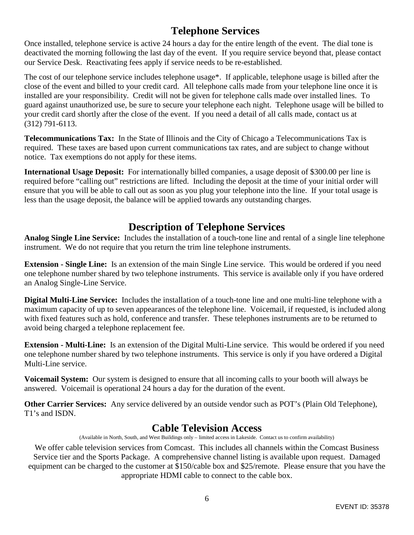### **Telephone Services**

Once installed, telephone service is active 24 hours a day for the entire length of the event. The dial tone is deactivated the morning following the last day of the event. If you require service beyond that, please contact our Service Desk. Reactivating fees apply if service needs to be re-established.

The cost of our telephone service includes telephone usage\*. If applicable, telephone usage is billed after the close of the event and billed to your credit card. All telephone calls made from your telephone line once it is installed are your responsibility. Credit will not be given for telephone calls made over installed lines. To guard against unauthorized use, be sure to secure your telephone each night. Telephone usage will be billed to your credit card shortly after the close of the event. If you need a detail of all calls made, contact us at (312) 791-6113.

**Telecommunications Tax:** In the State of Illinois and the City of Chicago a Telecommunications Tax is required. These taxes are based upon current communications tax rates, and are subject to change without notice. Tax exemptions do not apply for these items.

**International Usage Deposit:** For internationally billed companies, a usage deposit of \$300.00 per line is required before "calling out" restrictions are lifted. Including the deposit at the time of your initial order will ensure that you will be able to call out as soon as you plug your telephone into the line. If your total usage is less than the usage deposit, the balance will be applied towards any outstanding charges.

# **Description of Telephone Services**

**Analog Single Line Service:** Includes the installation of a touch-tone line and rental of a single line telephone instrument. We do not require that you return the trim line telephone instruments.

**Extension - Single Line:** Is an extension of the main Single Line service. This would be ordered if you need one telephone number shared by two telephone instruments. This service is available only if you have ordered an Analog Single-Line Service.

**Digital Multi-Line Service:** Includes the installation of a touch-tone line and one multi-line telephone with a maximum capacity of up to seven appearances of the telephone line. Voicemail, if requested, is included along with fixed features such as hold, conference and transfer. These telephones instruments are to be returned to avoid being charged a telephone replacement fee.

**Extension - Multi-Line:** Is an extension of the Digital Multi-Line service. This would be ordered if you need one telephone number shared by two telephone instruments. This service is only if you have ordered a Digital Multi-Line service.

**Voicemail System:** Our system is designed to ensure that all incoming calls to your booth will always be answered. Voicemail is operational 24 hours a day for the duration of the event.

**Other Carrier Services:** Any service delivered by an outside vendor such as POT's (Plain Old Telephone), T1's and ISDN.

### **Cable Television Access**

(Available in North, South, and West Buildings only – limited access in Lakeside. Contact us to confirm availability)

We offer cable television services from Comcast. This includes all channels within the Comcast Business Service tier and the Sports Package. A comprehensive channel listing is available upon request. Damaged equipment can be charged to the customer at \$150/cable box and \$25/remote. Please ensure that you have the appropriate HDMI cable to connect to the cable box.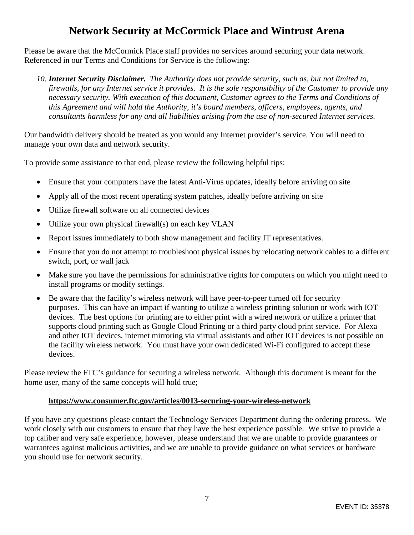### **Network Security at McCormick Place and Wintrust Arena**

Please be aware that the McCormick Place staff provides no services around securing your data network. Referenced in our Terms and Conditions for Service is the following:

*10. Internet Security Disclaimer. The Authority does not provide security, such as, but not limited to, firewalls, for any Internet service it provides. It is the sole responsibility of the Customer to provide any necessary security. With execution of this document, Customer agrees to the Terms and Conditions of this Agreement and will hold the Authority, it's board members, officers, employees, agents, and consultants harmless for any and all liabilities arising from the use of non-secured Internet services.* 

Our bandwidth delivery should be treated as you would any Internet provider's service. You will need to manage your own data and network security.

To provide some assistance to that end, please review the following helpful tips:

- Ensure that your computers have the latest Anti-Virus updates, ideally before arriving on site
- Apply all of the most recent operating system patches, ideally before arriving on site
- Utilize firewall software on all connected devices
- Utilize your own physical firewall(s) on each key VLAN
- Report issues immediately to both show management and facility IT representatives.
- Ensure that you do not attempt to troubleshoot physical issues by relocating network cables to a different switch, port, or wall jack
- Make sure you have the permissions for administrative rights for computers on which you might need to install programs or modify settings.
- Be aware that the facility's wireless network will have peer-to-peer turned off for security purposes. This can have an impact if wanting to utilize a wireless printing solution or work with IOT devices. The best options for printing are to either print with a wired network or utilize a printer that supports cloud printing such as Google Cloud Printing or a third party cloud print service. For Alexa and other IOT devices, internet mirroring via virtual assistants and other IOT devices is not possible on the facility wireless network. You must have your own dedicated Wi-Fi configured to accept these devices.

Please review the FTC's guidance for securing a wireless network. Although this document is meant for the home user, many of the same concepts will hold true;

### **<https://www.consumer.ftc.gov/articles/0013-securing-your-wireless-network>**

If you have any questions please contact the Technology Services Department during the ordering process. We work closely with our customers to ensure that they have the best experience possible. We strive to provide a top caliber and very safe experience, however, please understand that we are unable to provide guarantees or warrantees against malicious activities, and we are unable to provide guidance on what services or hardware you should use for network security.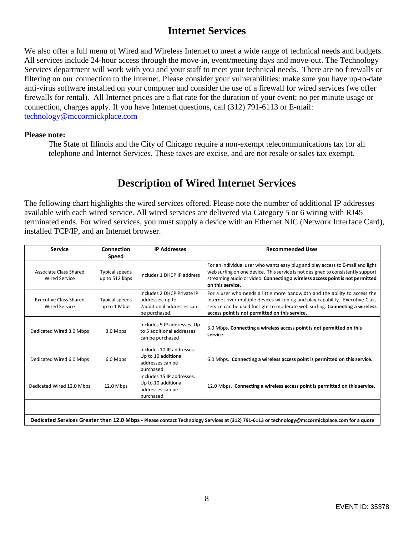### **Internet Services**

We also offer a full menu of Wired and Wireless Internet to meet a wide range of technical needs and budgets. All services include 24-hour access through the move-in, event/meeting days and move-out. The Technology Services department will work with you and your staff to meet your technical needs. There are no firewalls or filtering on our connection to the Internet. Please consider your vulnerabilities: make sure you have up-to-date anti-virus software installed on your computer and consider the use of a firewall for wired services (we offer firewalls for rental). All Internet prices are a flat rate for the duration of your event; no per minute usage or connection, charges apply. If you have Internet questions, call (312) 791-6113 or E-mail: [technology@mccormickplace.com](mailto:technology@mccormickplace.com) 

#### **Please note:**

The State of Illinois and the City of Chicago require a non-exempt telecommunications tax for all telephone and Internet Services. These taxes are excise, and are not resale or sales tax exempt.

### **Description of Wired Internet Services**

The following chart highlights the wired services offered. Please note the number of additional IP addresses available with each wired service. All wired services are delivered via Category 5 or 6 wiring with RJ45 terminated ends. For wired services, you must supply a device with an Ethernet NIC (Network Interface Card), installed TCP/IP, and an Internet browser.

| <b>Service</b>                                        | Connection                            | <b>IP Addresses</b>                                                                          | <b>Recommended Uses</b>                                                                                                                                                                                                                                                                       |  |  |  |
|-------------------------------------------------------|---------------------------------------|----------------------------------------------------------------------------------------------|-----------------------------------------------------------------------------------------------------------------------------------------------------------------------------------------------------------------------------------------------------------------------------------------------|--|--|--|
|                                                       | Speed                                 |                                                                                              |                                                                                                                                                                                                                                                                                               |  |  |  |
| Associate Class Shared<br><b>Wired Service</b>        | Typical speeds<br>up to 512 kbps      | Includes 1 DHCP IP address                                                                   | For an individual user who wants easy plug and play access to E-mail and light<br>web surfing on one device. This service is not designed to consistently support<br>streaming audio or video. Connecting a wireless access point is not permitted<br>on this service.                        |  |  |  |
| <b>Executive Class Shared</b><br><b>Wired Service</b> | <b>Typical speeds</b><br>up to 1 Mbps | Includes 2 DHCP Private IP<br>addresses, up to<br>2additional addresses can<br>be purchased. | For a user who needs a little more bandwidth and the ability to access the<br>internet over multiple devices with plug and play capability. Executive Class<br>service can be used for light to moderate web surfing. Connecting a wireless<br>access point is not permitted on this service. |  |  |  |
| Dedicated Wired 3.0 Mbps                              | 3.0 Mbps                              | Includes 5 IP addresses. Up<br>to 5 additional addresses<br>can be purchased                 | 3.0 Mbps. Connecting a wireless access point is not permitted on this<br>service.                                                                                                                                                                                                             |  |  |  |
| Dedicated Wired 6.0 Mbps                              | 6.0 Mbps                              | Includes 10 IP addresses.<br>Up to 10 additional<br>addresses can be<br>purchased.           | 6.0 Mbps. Connecting a wireless access point is permitted on this service.                                                                                                                                                                                                                    |  |  |  |
| Dedicated Wired 12.0 Mbps                             | 12.0 Mbps                             | Includes 15 IP addresses.<br>Up to 10 additional<br>addresses can be<br>purchased.           | 12.0 Mbps. Connecting a wireless access point is permitted on this service.                                                                                                                                                                                                                   |  |  |  |
|                                                       |                                       |                                                                                              |                                                                                                                                                                                                                                                                                               |  |  |  |
|                                                       |                                       |                                                                                              | Dedicated Services Greater than 12.0 Mbps - Please contact Technology Services at (312) 791-6113 or technology@mccormickplace.com for a quote                                                                                                                                                 |  |  |  |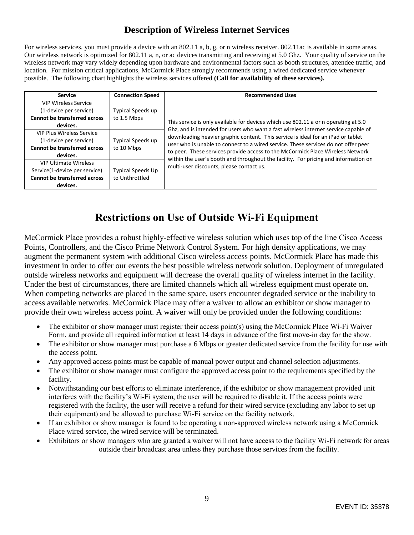### **Description of Wireless Internet Services**

For wireless services, you must provide a device with an 802.11 a, b, g, or n wireless receiver. 802.11ac is available in some areas. Our wireless network is optimized for 802.11 a, n, or ac devices transmitting and receiving at 5.0 Ghz. Your quality of service on the wireless network may vary widely depending upon hardware and environmental factors such as booth structures, attendee traffic, and location. For mission critical applications, McCormick Place strongly recommends using a wired dedicated service whenever possible. The following chart highlights the wireless services offered **(Call for availability of these services).**

| <b>Service</b>                                                                                                   | <b>Connection Speed</b>                    | <b>Recommended Uses</b>                                                                                                                                                                                                                                                                                                                         |
|------------------------------------------------------------------------------------------------------------------|--------------------------------------------|-------------------------------------------------------------------------------------------------------------------------------------------------------------------------------------------------------------------------------------------------------------------------------------------------------------------------------------------------|
| <b>VIP Wireless Service</b><br>(1-device per service)<br><b>Cannot be transferred across</b><br>devices.         | Typical Speeds up<br>to 1.5 Mbps           | This service is only available for devices which use 802.11 a or n operating at 5.0                                                                                                                                                                                                                                                             |
| <b>VIP Plus Wireless Service</b><br>(1-device per service)<br><b>Cannot be transferred across</b><br>devices.    | <b>Typical Speeds up</b><br>to 10 Mbps     | Ghz, and is intended for users who want a fast wireless internet service capable of<br>downloading heavier graphic content. This service is ideal for an iPad or tablet<br>user who is unable to connect to a wired service. These services do not offer peer<br>to peer. These services provide access to the McCormick Place Wireless Network |
| <b>VIP Ultimate Wireless</b><br>Service(1-device per service)<br><b>Cannot be transferred across</b><br>devices. | <b>Typical Speeds Up</b><br>to Unthrottled | within the user's booth and throughout the facility. For pricing and information on<br>multi-user discounts, please contact us.                                                                                                                                                                                                                 |

### **Restrictions on Use of Outside Wi‐Fi Equipment**

McCormick Place provides a robust highly-effective wireless solution which uses top of the line Cisco Access Points, Controllers, and the Cisco Prime Network Control System. For high density applications, we may augment the permanent system with additional Cisco wireless access points. McCormick Place has made this investment in order to offer our events the best possible wireless network solution. Deployment of unregulated outside wireless networks and equipment will decrease the overall quality of wireless internet in the facility. Under the best of circumstances, there are limited channels which all wireless equipment must operate on. When competing networks are placed in the same space, users encounter degraded service or the inability to access available networks. McCormick Place may offer a waiver to allow an exhibitor or show manager to provide their own wireless access point. A waiver will only be provided under the following conditions:

- The exhibitor or show manager must register their access point(s) using the McCormick Place Wi‐Fi Waiver Form, and provide all required information at least 14 days in advance of the first move-in day for the show.
- The exhibitor or show manager must purchase a 6 Mbps or greater dedicated service from the facility for use with the access point.
- Any approved access points must be capable of manual power output and channel selection adjustments.
- The exhibitor or show manager must configure the approved access point to the requirements specified by the facility.
- Notwithstanding our best efforts to eliminate interference, if the exhibitor or show management provided unit interferes with the facility's Wi‐Fi system, the user will be required to disable it. If the access points were registered with the facility, the user will receive a refund for their wired service (excluding any labor to set up their equipment) and be allowed to purchase Wi‐Fi service on the facility network.
- If an exhibitor or show manager is found to be operating a non-approved wireless network using a McCormick Place wired service, the wired service will be terminated.
- Exhibitors or show managers who are granted a waiver will not have access to the facility Wi‐Fi network for areas outside their broadcast area unless they purchase those services from the facility.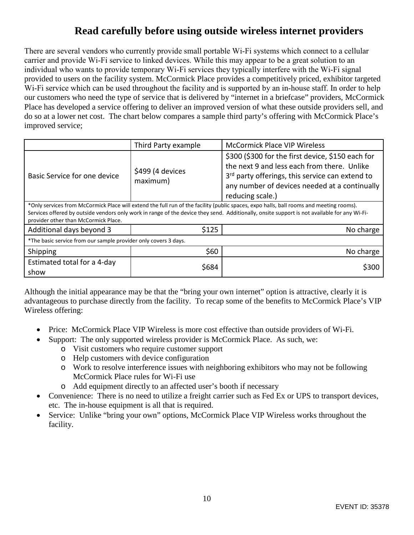# **Read carefully before using outside wireless internet providers**

There are several vendors who currently provide small portable Wi‐Fi systems which connect to a cellular carrier and provide Wi‐Fi service to linked devices. While this may appear to be a great solution to an individual who wants to provide temporary Wi‐Fi services they typically interfere with the Wi‐Fi signal provided to users on the facility system. McCormick Place provides a competitively priced, exhibitor targeted Wi-Fi service which can be used throughout the facility and is supported by an in-house staff. In order to help our customers who need the type of service that is delivered by "internet in a briefcase" providers, McCormick Place has developed a service offering to deliver an improved version of what these outside providers sell, and do so at a lower net cost. The chart below compares a sample third party's offering with McCormick Place's improved service;

|                                                                                                                                                                                                                                                                                                                                 | Third Party example          | <b>McCormick Place VIP Wireless</b>                                                                                                                                                                                                  |  |  |  |  |
|---------------------------------------------------------------------------------------------------------------------------------------------------------------------------------------------------------------------------------------------------------------------------------------------------------------------------------|------------------------------|--------------------------------------------------------------------------------------------------------------------------------------------------------------------------------------------------------------------------------------|--|--|--|--|
| Basic Service for one device                                                                                                                                                                                                                                                                                                    | \$499 (4 devices<br>maximum) | \$300 (\$300 for the first device, \$150 each for<br>the next 9 and less each from there. Unlike<br>3 <sup>rd</sup> party offerings, this service can extend to<br>any number of devices needed at a continually<br>reducing scale.) |  |  |  |  |
| *Only services from McCormick Place will extend the full run of the facility (public spaces, expo halls, ball rooms and meeting rooms).<br>Services offered by outside vendors only work in range of the device they send. Additionally, onsite support is not available for any Wi-Fi-<br>provider other than McCormick Place. |                              |                                                                                                                                                                                                                                      |  |  |  |  |
| Additional days beyond 3                                                                                                                                                                                                                                                                                                        | \$125                        | No charge                                                                                                                                                                                                                            |  |  |  |  |
| *The basic service from our sample provider only covers 3 days.                                                                                                                                                                                                                                                                 |                              |                                                                                                                                                                                                                                      |  |  |  |  |
| Shipping                                                                                                                                                                                                                                                                                                                        | \$60                         | No charge                                                                                                                                                                                                                            |  |  |  |  |
| Estimated total for a 4-day<br>show                                                                                                                                                                                                                                                                                             | \$684                        | S300                                                                                                                                                                                                                                 |  |  |  |  |

Although the initial appearance may be that the "bring your own internet" option is attractive, clearly it is advantageous to purchase directly from the facility. To recap some of the benefits to McCormick Place's VIP Wireless offering:

- Price: McCormick Place VIP Wireless is more cost effective than outside providers of Wi-Fi.
- Support: The only supported wireless provider is McCormick Place. As such, we:
	- o Visit customers who require customer support
	- o Help customers with device configuration
	- o Work to resolve interference issues with neighboring exhibitors who may not be following McCormick Place rules for Wi-Fi use
	- o Add equipment directly to an affected user's booth if necessary
- Convenience: There is no need to utilize a freight carrier such as Fed Ex or UPS to transport devices, etc. The in-house equipment is all that is required.
- Service: Unlike "bring your own" options, McCormick Place VIP Wireless works throughout the facility.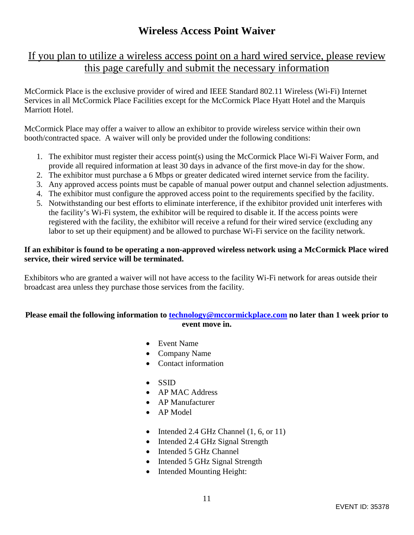### **Wireless Access Point Waiver**

### If you plan to utilize a wireless access point on a hard wired service, please review this page carefully and submit the necessary information

McCormick Place is the exclusive provider of wired and IEEE Standard 802.11 Wireless (Wi-Fi) Internet Services in all McCormick Place Facilities except for the McCormick Place Hyatt Hotel and the Marquis Marriott Hotel.

McCormick Place may offer a waiver to allow an exhibitor to provide wireless service within their own booth/contracted space. A waiver will only be provided under the following conditions:

- 1. The exhibitor must register their access point(s) using the McCormick Place Wi-Fi Waiver Form, and provide all required information at least 30 days in advance of the first move-in day for the show.
- 2. The exhibitor must purchase a 6 Mbps or greater dedicated wired internet service from the facility.
- 3. Any approved access points must be capable of manual power output and channel selection adjustments.
- 4. The exhibitor must configure the approved access point to the requirements specified by the facility.
- 5. Notwithstanding our best efforts to eliminate interference, if the exhibitor provided unit interferes with the facility's Wi-Fi system, the exhibitor will be required to disable it. If the access points were registered with the facility, the exhibitor will receive a refund for their wired service (excluding any labor to set up their equipment) and be allowed to purchase Wi-Fi service on the facility network.

### **If an exhibitor is found to be operating a non-approved wireless network using a McCormick Place wired service, their wired service will be terminated.**

Exhibitors who are granted a waiver will not have access to the facility Wi-Fi network for areas outside their broadcast area unless they purchase those services from the facility.

### **Please email the following information to [technology@mccormickplace.com](mailto:technology@mccormickplace.com) no later than 1 week prior to event move in.**

- Event Name
- Company Name
- Contact information
- $\bullet$  SSID
- AP MAC Address
- AP Manufacturer
- AP Model
- $\bullet$  Intended 2.4 GHz Channel (1, 6, or 11)
- Intended 2.4 GHz Signal Strength
- Intended 5 GHz Channel
- Intended 5 GHz Signal Strength
- Intended Mounting Height: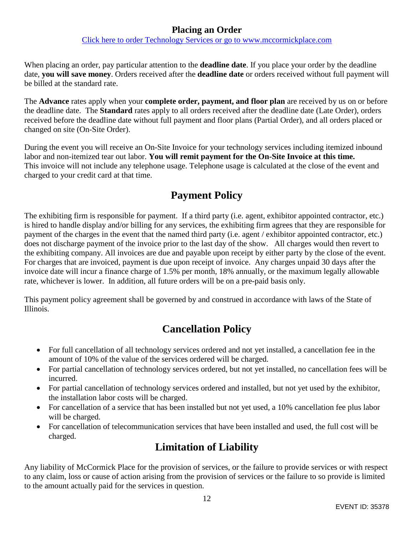### **Placing an Order**

[Click here to order Technology Services or go to www.mccormickplace.com](http://mpea-web.ungerboeck.com/coe/coe_p1_all.aspx?oc=10&cc=SOP-COE-FORM)

When placing an order, pay particular attention to the **deadline date**. If you place your order by the deadline date, **you will save money**. Orders received after the **deadline date** or orders received without full payment will be billed at the standard rate.

The **Advance** rates apply when your **complete order, payment, and floor plan** are received by us on or before the deadline date. The **Standard** rates apply to all orders received after the deadline date (Late Order), orders received before the deadline date without full payment and floor plans (Partial Order), and all orders placed or changed on site (On-Site Order).

During the event you will receive an On-Site Invoice for your technology services including itemized inbound labor and non-itemized tear out labor. **You will remit payment for the On-Site Invoice at this time.** This invoice will not include any telephone usage. Telephone usage is calculated at the close of the event and charged to your credit card at that time.

# **Payment Policy**

The exhibiting firm is responsible for payment. If a third party (i.e. agent, exhibitor appointed contractor, etc.) is hired to handle display and/or billing for any services, the exhibiting firm agrees that they are responsible for payment of the charges in the event that the named third party (i.e. agent / exhibitor appointed contractor, etc.) does not discharge payment of the invoice prior to the last day of the show. All charges would then revert to the exhibiting company. All invoices are due and payable upon receipt by either party by the close of the event. For charges that are invoiced, payment is due upon receipt of invoice. Any charges unpaid 30 days after the invoice date will incur a finance charge of 1.5% per month, 18% annually, or the maximum legally allowable rate, whichever is lower. In addition, all future orders will be on a pre-paid basis only.

This payment policy agreement shall be governed by and construed in accordance with laws of the State of Illinois.

# **Cancellation Policy**

- For full cancellation of all technology services ordered and not yet installed, a cancellation fee in the amount of 10% of the value of the services ordered will be charged.
- For partial cancellation of technology services ordered, but not yet installed, no cancellation fees will be incurred.
- For partial cancellation of technology services ordered and installed, but not yet used by the exhibitor, the installation labor costs will be charged.
- For cancellation of a service that has been installed but not yet used, a 10% cancellation fee plus labor will be charged.
- For cancellation of telecommunication services that have been installed and used, the full cost will be charged.

# **Limitation of Liability**

Any liability of McCormick Place for the provision of services, or the failure to provide services or with respect to any claim, loss or cause of action arising from the provision of services or the failure to so provide is limited to the amount actually paid for the services in question.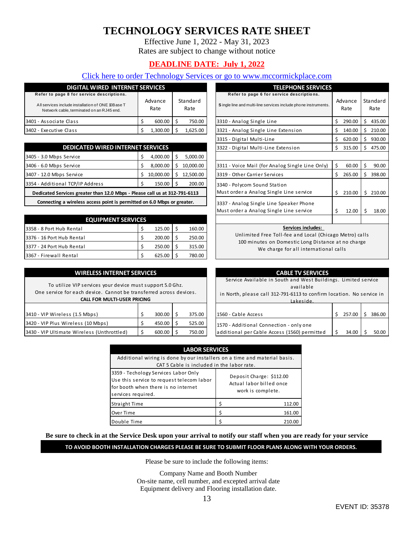# **TECHNOLOGY SERVICES RATE SHEET**

Effective June 1, 2022 - May 31, 2023

Rates are subject to change without notice

### **DEADLINE DATE: July 1, 2022**

### [Click here to order Technology Services or go to www.mccormickplace.com](http://mpea-web.ungerboeck.com/coe/coe_p1_all.aspx?oc=10&cc=SOP-COE-FORM)

| <b>DIGITAL WIRED INTERNET SERVICES</b>                                                         |                 |          |                  |          |  |
|------------------------------------------------------------------------------------------------|-----------------|----------|------------------|----------|--|
| Refer to page 8 for service descriptions.                                                      |                 |          |                  |          |  |
| All services include installation of ONE 10Base T<br>Network cable, terminated on an RJ45 end. | Advance<br>Rate |          | Standard<br>Rate |          |  |
| 3401 - Associate Class                                                                         |                 | 600.00   |                  | 750.00   |  |
| 3402 - Executive Class                                                                         |                 | 1.300.00 |                  | 1.625.00 |  |

| <b>DEDICATED WIRED INTERNET SERVICES</b>                                   |    |           |    |           |  |
|----------------------------------------------------------------------------|----|-----------|----|-----------|--|
| 3405 - 3.0 Mbps Service                                                    |    | 4,000.00  |    | 5,000.00  |  |
| 3406 - 6.0 Mbps Service                                                    | Ś  | 8.000.00  | Ś  | 10,000.00 |  |
| 3407 - 12.0 Mbps Service                                                   | Ś  | 10,000.00 | Ŝ. | 12,500.00 |  |
| 3354 - Additional TCP/IP Address                                           | \$ | 150.00    | S. | 200.00    |  |
| Dedicated Services greater than 12.0 Mbps - Please call us at 312-791-6113 |    |           |    |           |  |
| Connecting a wireless access point is permitted on 6.0 Mbps or greater.    |    |           |    |           |  |

| <b>EQUIPMENT SERVICES</b> |  |        |  |        |  |
|---------------------------|--|--------|--|--------|--|
| 3358 - 8 Port Hub Rental  |  | 125.00 |  | 160.00 |  |
| 3376 - 16 Port Hub Rental |  | 200.00 |  | 250.00 |  |
| 3377 - 24 Port Hub Rental |  | 250.00 |  | 315.00 |  |
| 3367 - Firewall Rental    |  | 625.00 |  | 780.00 |  |

#### **WIRELESS INTERNET SERVICES**

To utilize VIP services your device must s upport 5.0 Ghz. One service for each device. Cannot be trans ferred across devices. **CALL FOR MULTI-USER PRICING**

| 3410 - VIP Wireless (1.5 Mbps)              | 300.00 | 375.00 |
|---------------------------------------------|--------|--------|
| 3420 - VIP Plus Wireless (10 Mbps)          | 450.00 | 525.00 |
| 13430 - VIP Ultimate Wireless (Unthrottled) | 600.00 | 750.00 |

| <b>SERVICES</b>              |           |                  |           | <b>TELEPHONE SERVICES</b>                                                                                   |                 |        |                  |        |  |
|------------------------------|-----------|------------------|-----------|-------------------------------------------------------------------------------------------------------------|-----------------|--------|------------------|--------|--|
| Advance<br>Rate              |           | Standard<br>Rate |           | Refer to page 6 for service descriptions.<br>Single line and multi-line services include phone instruments. | Advance<br>Rate |        | Standard<br>Rate |        |  |
| \$                           | 600.00    | \$               | 750.00    | 3310 - Analog Single Line                                                                                   | Ś               | 290.00 | Ś                | 435.00 |  |
| \$                           | 1,300.00  | \$               | 1,625.00  | 3321 - Analog Single Line Extension                                                                         | Ś               | 140.00 | Ś                | 210.00 |  |
|                              |           |                  |           | 3315 - Digital Multi-Line                                                                                   | Ś               | 620.00 | Ś                | 930.00 |  |
| <b>SERVICES</b>              |           |                  |           | 3322 - Digital Multi-Line Extension                                                                         | Ś               | 315.00 | Ś                | 475.00 |  |
| \$                           | 4,000.00  | \$               | 5,000.00  |                                                                                                             |                 |        |                  |        |  |
| \$                           | 8,000.00  | Ś.               | 10,000.00 | 3311 - Voice Mail (for Analog Single Line Only)                                                             | Ś               | 60.00  | Ś                | 90.00  |  |
| \$                           | 10,000.00 | \$               | 12,500.00 | 3319 - Other Carrier Services                                                                               | Ś.              | 265.00 | Ś                | 398.00 |  |
| \$                           | 150.00    | Ś                | 200.00    | 3340 - Polycom Sound Station                                                                                |                 |        |                  |        |  |
| se call us at 312-791-6113   |           |                  |           | Must order a Analog Single Line service                                                                     | Ś               | 210.00 | Ś                | 210.00 |  |
| on 6.0 Mbps or greater.      |           |                  |           | 3337 - Analog Single Line Speaker Phone                                                                     |                 |        |                  |        |  |
|                              |           |                  |           | Must order a Analog Single Line service                                                                     | Ś               | 12.00  | Ś.               | 18.00  |  |
| ES                           |           |                  |           |                                                                                                             |                 |        |                  |        |  |
| \$                           | 125.00    | \$               | 160.00    | Services includes:                                                                                          |                 |        |                  |        |  |
| \$<br>\$<br>200.00<br>250.00 |           |                  |           | Unlimited Free Toll-fee and Local (Chicago Metro) calls                                                     |                 |        |                  |        |  |

100 minutes on Domestic Long Distance at no charge We charge for all international calls

| VICES                                                 |        |  |        | <b>CABLE TV SERVICES</b>                                                                                                                                         |  |        |  |        |  |
|-------------------------------------------------------|--------|--|--------|------------------------------------------------------------------------------------------------------------------------------------------------------------------|--|--------|--|--------|--|
| t support 5.0 Ghz.<br>sferred across devices.<br>CING |        |  |        | Service Available in South and West Buildings. Limited service<br>available<br>in North, please call 312-791-6113 to confirm location. No service in<br>Lakeside |  |        |  |        |  |
| \$                                                    | 300.00 |  | 375.00 | 1560 - Cable Access                                                                                                                                              |  | 257.00 |  | 386.00 |  |
| Ś.                                                    | 450.00 |  | 525.00 | 1570 - Additional Connection - only one                                                                                                                          |  |        |  |        |  |
| Ś.                                                    | 600.00 |  | 750.00 | additional per Cable Access (1560) permitted                                                                                                                     |  | 34.00  |  | 50.00  |  |

| <b>LABOR SERVICES</b>                                                                                                                          |                                                                           |  |  |  |  |  |  |
|------------------------------------------------------------------------------------------------------------------------------------------------|---------------------------------------------------------------------------|--|--|--|--|--|--|
| Additional wiring is done by our installers on a time and material basis.<br>CAT 5 Cable is included in the labor rate.                        |                                                                           |  |  |  |  |  |  |
| 3359 - Techology Services Labor Only<br>Use this service to request telecom labor<br>for booth when there is no internet<br>services required. | Deposit Charge: \$112.00<br>Actual labor billed once<br>work is complete. |  |  |  |  |  |  |
| Straight Time                                                                                                                                  | 112.00                                                                    |  |  |  |  |  |  |
| Over Time                                                                                                                                      | 161.00                                                                    |  |  |  |  |  |  |
| Double Time                                                                                                                                    | 210.00                                                                    |  |  |  |  |  |  |

#### **Be sure to check in at the Service Desk upon your arrival to notify our staff when you are ready for your service**

#### **TO AVOID BOOTH INSTALLATION CHARGES PLEASE BE SURE TO SUBMIT FLOOR PLANS ALONG WITH YOUR ORDERS.**

Please be sure to include the following items:

Company Name and Booth Number On-site name, cell number, and excepted arrival date Equipment delivery and Flooring installation date.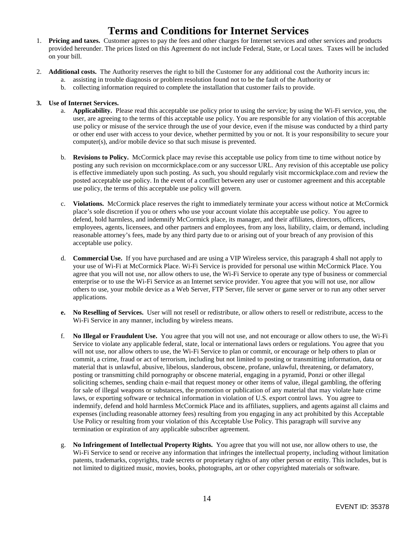# **Terms and Conditions for Internet Services**

- 1. **Pricing and taxes.** Customer agrees to pay the fees and other charges for Internet services and other services and products provided hereunder. The prices listed on this Agreement do not include Federal, State, or Local taxes. Taxes will be included on your bill.
- 2. **Additional costs.** The Authority reserves the right to bill the Customer for any additional cost the Authority incurs in:
	- a. assisting in trouble diagnosis or problem resolution found not to be the fault of the Authority or
	- b. collecting information required to complete the installation that customer fails to provide.

#### **3. Use of Internet Services.**

- a. **Applicability.** Please read this acceptable use policy prior to using the service; by using the Wi-Fi service, you, the user, are agreeing to the terms of this acceptable use policy. You are responsible for any violation of this acceptable use policy or misuse of the service through the use of your device, even if the misuse was conducted by a third party or other end user with access to your device, whether permitted by you or not. It is your responsibility to secure your computer(s), and/or mobile device so that such misuse is prevented.
- b. **Revisions to Policy.** McCormick place may revise this acceptable use policy from time to time without notice by posting any such revision on mccormickplace.com or any successor URL. Any revision of this acceptable use policy is effective immediately upon such posting. As such, you should regularly visit mccormickplace.com and review the posted acceptable use policy. In the event of a conflict between any user or customer agreement and this acceptable use policy, the terms of this acceptable use policy will govern.
- c. **Violations.** McCormick place reserves the right to immediately terminate your access without notice at McCormick place's sole discretion if you or others who use your account violate this acceptable use policy. You agree to defend, hold harmless, and indemnify McCormick place, its manager, and their affiliates, directors, officers, employees, agents, licensees, and other partners and employees, from any loss, liability, claim, or demand, including reasonable attorney's fees, made by any third party due to or arising out of your breach of any provision of this acceptable use policy.
- d. **Commercial Use.** If you have purchased and are using a VIP Wireless service, this paragraph 4 shall not apply to your use of Wi-Fi at McCormick Place. Wi-Fi Service is provided for personal use within McCormick Place. You agree that you will not use, nor allow others to use, the Wi-Fi Service to operate any type of business or commercial enterprise or to use the Wi-Fi Service as an Internet service provider. You agree that you will not use, nor allow others to use, your mobile device as a Web Server, FTP Server, file server or game server or to run any other server applications.
- **e. No Reselling of Services.** User will not resell or redistribute, or allow others to resell or redistribute, access to the Wi-Fi Service in any manner, including by wireless means.
- f. **No Illegal or Fraudulent Use.** You agree that you will not use, and not encourage or allow others to use, the Wi-Fi Service to violate any applicable federal, state, local or international laws orders or regulations. You agree that you will not use, nor allow others to use, the Wi-Fi Service to plan or commit, or encourage or help others to plan or commit, a crime, fraud or act of terrorism, including but not limited to posting or transmitting information, data or material that is unlawful, abusive, libelous, slanderous, obscene, profane, unlawful, threatening, or defamatory, posting or transmitting child pornography or obscene material, engaging in a pyramid, Ponzi or other illegal soliciting schemes, sending chain e-mail that request money or other items of value, illegal gambling, the offering for sale of illegal weapons or substances, the promotion or publication of any material that may violate hate crime laws, or exporting software or technical information in violation of U.S. export control laws. You agree to indemnify, defend and hold harmless McCormick Place and its affiliates, suppliers, and agents against all claims and expenses (including reasonable attorney fees) resulting from you engaging in any act prohibited by this Acceptable Use Policy or resulting from your violation of this Acceptable Use Policy. This paragraph will survive any termination or expiration of any applicable subscriber agreement.
- g. **No Infringement of Intellectual Property Rights.** You agree that you will not use, nor allow others to use, the Wi-Fi Service to send or receive any information that infringes the intellectual property, including without limitation patents, trademarks, copyrights, trade secrets or proprietary rights of any other person or entity. This includes, but is not limited to digitized music, movies, books, photographs, art or other copyrighted materials or software.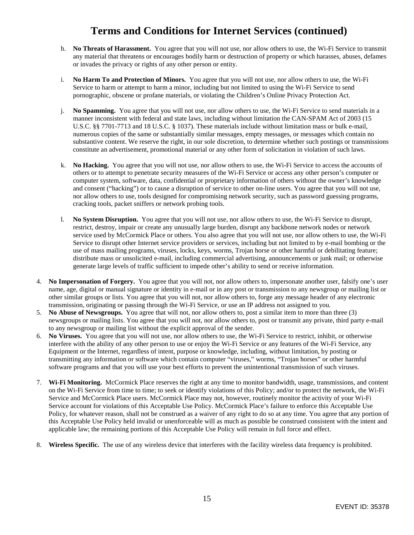# **Terms and Conditions for Internet Services (continued)**

- h. **No Threats of Harassment.** You agree that you will not use, nor allow others to use, the Wi-Fi Service to transmit any material that threatens or encourages bodily harm or destruction of property or which harasses, abuses, defames or invades the privacy or rights of any other person or entity.
- i. **No Harm To and Protection of Minors.** You agree that you will not use, nor allow others to use, the Wi-Fi Service to harm or attempt to harm a minor, including but not limited to using the Wi-Fi Service to send pornographic, obscene or profane materials, or violating the Children's Online Privacy Protection Act.
- j. **No Spamming.** You agree that you will not use, nor allow others to use, the Wi-Fi Service to send materials in a manner inconsistent with federal and state laws, including without limitation the CAN-SPAM Act of 2003 (15 U.S.C. §§ 7701-7713 and 18 U.S.C. § 1037). These materials include without limitation mass or bulk e-mail, numerous copies of the same or substantially similar messages, empty messages, or messages which contain no substantive content. We reserve the right, in our sole discretion, to determine whether such postings or transmissions constitute an advertisement, promotional material or any other form of solicitation in violation of such laws.
- k. **No Hacking.** You agree that you will not use, nor allow others to use, the Wi-Fi Service to access the accounts of others or to attempt to penetrate security measures of the Wi-Fi Service or access any other person's computer or computer system, software, data, confidential or proprietary information of others without the owner's knowledge and consent ("hacking") or to cause a disruption of service to other on-line users. You agree that you will not use, nor allow others to use, tools designed for compromising network security, such as password guessing programs, cracking tools, packet sniffers or network probing tools.
- l. **No System Disruption.** You agree that you will not use, nor allow others to use, the Wi-Fi Service to disrupt, restrict, destroy, impair or create any unusually large burden, disrupt any backbone network nodes or network service used by McCormick Place or others. You also agree that you will not use, nor allow others to use, the Wi-Fi Service to disrupt other Internet service providers or services, including but not limited to by e-mail bombing or the use of mass mailing programs, viruses, locks, keys, worms, Trojan horse or other harmful or debilitating feature; distribute mass or unsolicited e-mail, including commercial advertising, announcements or junk mail; or otherwise generate large levels of traffic sufficient to impede other's ability to send or receive information.
- 4. **No Impersonation of Forgery.** You agree that you will not, nor allow others to, impersonate another user, falsify one's user name, age, digital or manual signature or identity in e-mail or in any post or transmission to any newsgroup or mailing list or other similar groups or lists. You agree that you will not, nor allow others to, forge any message header of any electronic transmission, originating or passing through the Wi-Fi Service, or use an IP address not assigned to you.
- 5. **No Abuse of Newsgroups.** You agree that will not, nor allow others to, post a similar item to more than three (3) newsgroups or mailing lists. You agree that you will not, nor allow others to, post or transmit any private, third party e-mail to any newsgroup or mailing list without the explicit approval of the sender.
- 6. **No Viruses.** You agree that you will not use, nor allow others to use, the Wi-Fi Service to restrict, inhibit, or otherwise interfere with the ability of any other person to use or enjoy the Wi-Fi Service or any features of the Wi-Fi Service, any Equipment or the Internet, regardless of intent, purpose or knowledge, including, without limitation, by posting or transmitting any information or software which contain computer "viruses," worms, "Trojan horses" or other harmful software programs and that you will use your best efforts to prevent the unintentional transmission of such viruses.
- 7. **Wi-Fi Monitoring.** McCormick Place reserves the right at any time to monitor bandwidth, usage, transmissions, and content on the Wi-Fi Service from time to time; to seek or identify violations of this Policy; and/or to protect the network, the Wi-Fi Service and McCormick Place users. McCormick Place may not, however, routinely monitor the activity of your Wi-Fi Service account for violations of this Acceptable Use Policy. McCormick Place's failure to enforce this Acceptable Use Policy, for whatever reason, shall not be construed as a waiver of any right to do so at any time. You agree that any portion of this Acceptable Use Policy held invalid or unenforceable will as much as possible be construed consistent with the intent and applicable law; the remaining portions of this Acceptable Use Policy will remain in full force and effect.
- 8. **Wireless Specific.** The use of any wireless device that interferes with the facility wireless data frequency is prohibited.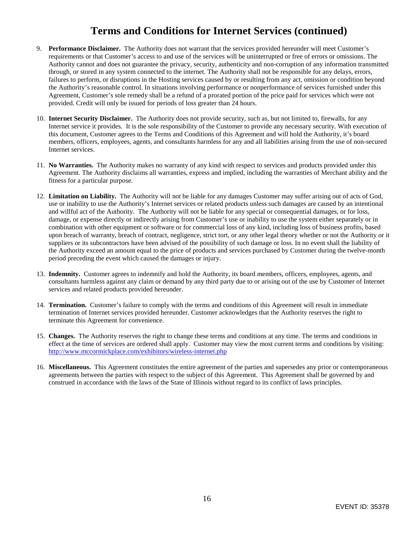# **Terms and Conditions for Internet Services (continued)**

- 9. **Performance Disclaimer.** The Authority does not warrant that the services provided hereunder will meet Customer's requirements or that Customer's access to and use of the services will be uninterrupted or free of errors or omissions. The Authority cannot and does not guarantee the privacy, security, authenticity and non-corruption of any information transmitted through, or stored in any system connected to the internet. The Authority shall not be responsible for any delays, errors, failures to perform, or disruptions in the Hosting services caused by or resulting from any act, omission or condition beyond the Authority's reasonable control. In situations involving performance or nonperformance of services furnished under this Agreement, Customer's sole remedy shall be a refund of a prorated portion of the price paid for services which were not provided. Credit will only be issued for periods of loss greater than 24 hours.
- 10. **Internet Security Disclaimer.** The Authority does not provide security, such as, but not limited to, firewalls, for any Internet service it provides. It is the sole responsibility of the Customer to provide any necessary security. With execution of this document, Customer agrees to the Terms and Conditions of this Agreement and will hold the Authority, it's board members, officers, employees, agents, and consultants harmless for any and all liabilities arising from the use of non-secured Internet services.
- 11. **No Warranties.** The Authority makes no warranty of any kind with respect to services and products provided under this Agreement. The Authority disclaims all warranties, express and implied, including the warranties of Merchant ability and the fitness for a particular purpose.
- 12. **Limitation on Liability.** The Authority will not be liable for any damages Customer may suffer arising out of acts of God, use or inability to use the Authority's Internet services or related products unless such damages are caused by an intentional and willful act of the Authority. The Authority will not be liable for any special or consequential damages, or for loss, damage, or expense directly or indirectly arising from Customer's use or inability to use the system either separately or in combination with other equipment or software or for commercial loss of any kind, including loss of business profits, based upon breach of warranty, breach of contract, negligence, strict tort, or any other legal theory whether or not the Authority or it suppliers or its subcontractors have been advised of the possibility of such damage or loss. In no event shall the liability of the Authority exceed an amount equal to the price of products and services purchased by Customer during the twelve-month period preceding the event which caused the damages or injury.
- 13. **Indemnity.** Customer agrees to indemnify and hold the Authority, its board members, officers, employees, agents, and consultants harmless against any claim or demand by any third party due to or arising out of the use by Customer of Internet services and related products provided hereunder.
- 14. **Termination.** Customer's failure to comply with the terms and conditions of this Agreement will result in immediate termination of Internet services provided hereunder. Customer acknowledges that the Authority reserves the right to terminate this Agreement for convenience.
- 15. **Changes.** The Authority reserves the right to change these terms and conditions at any time. The terms and conditions in effect at the time of services are ordered shall apply. Customer may view the most current terms and conditions by visiting: <http://www.mccormickplace.com/exhibitors/wireless-internet.php>
- 16. **Miscellaneous.** This Agreement constitutes the entire agreement of the parties and supersedes any prior or contemporaneous agreements between the parties with respect to the subject of this Agreement. This Agreement shall be governed by and construed in accordance with the laws of the State of Illinois without regard to its conflict of laws principles.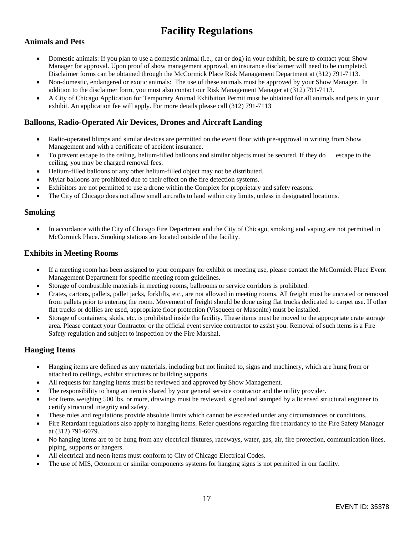# **Facility Regulations**

### **Animals and Pets**

- Domestic animals: If you plan to use a domestic animal (i.e., cat or dog) in your exhibit, be sure to contact your Show Manager for approval. Upon proof of show management approval, an insurance disclaimer will need to be completed. Disclaimer forms can be obtained through the McCormick Place Risk Management Department at (312) 791-7113.
- Non-domestic, endangered or exotic animals: The use of these animals must be approved by your Show Manager. In addition to the disclaimer form, you must also contact our Risk Management Manager at (312) 791-7113.
- A City of Chicago Application for Temporary Animal Exhibition Permit must be obtained for all animals and pets in your exhibit. An application fee will apply. For more details please call (312) 791-7113

#### **Balloons, Radio-Operated Air Devices, Drones and Aircraft Landing**

- Radio-operated blimps and similar devices are permitted on the event floor with pre-approval in writing from Show Management and with a certificate of accident insurance.
- To prevent escape to the ceiling, helium-filled balloons and similar objects must be secured. If they do escape to the ceiling, you may be charged removal fees.
- Helium-filled balloons or any other helium-filled object may not be distributed.
- Mylar balloons are prohibited due to their effect on the fire detection systems.
- Exhibitors are not permitted to use a drone within the Complex for proprietary and safety reasons.
- The City of Chicago does not allow small aircrafts to land within city limits, unless in designated locations.

#### **Smoking**

• In accordance with the City of Chicago Fire Department and the City of Chicago, smoking and vaping are not permitted in McCormick Place. Smoking stations are located outside of the facility.

#### **Exhibits in Meeting Rooms**

- If a meeting room has been assigned to your company for exhibit or meeting use, please contact the McCormick Place Event Management Department for specific meeting room guidelines.
- Storage of combustible materials in meeting rooms, ballrooms or service corridors is prohibited.
- Crates, cartons, pallets, pallet jacks, forklifts, etc., are not allowed in meeting rooms. All freight must be uncrated or removed from pallets prior to entering the room. Movement of freight should be done using flat trucks dedicated to carpet use. If other flat trucks or dollies are used, appropriate floor protection (Visqueen or Masonite) must be installed.
- Storage of containers, skids, etc. is prohibited inside the facility. These items must be moved to the appropriate crate storage area. Please contact your Contractor or the official event service contractor to assist you. Removal of such items is a Fire Safety regulation and subject to inspection by the Fire Marshal.

#### **Hanging Items**

- Hanging items are defined as any materials, including but not limited to, signs and machinery, which are hung from or attached to ceilings, exhibit structures or building supports.
- All requests for hanging items must be reviewed and approved by Show Management.
- The responsibility to hang an item is shared by your general service contractor and the utility provider.
- For Items weighing 500 lbs. or more, drawings must be reviewed, signed and stamped by a licensed structural engineer to certify structural integrity and safety.
- These rules and regulations provide absolute limits which cannot be exceeded under any circumstances or conditions.
- Fire Retardant regulations also apply to hanging items. Refer questions regarding fire retardancy to the Fire Safety Manager at (312) 791-6079.
- No hanging items are to be hung from any electrical fixtures, raceways, water, gas, air, fire protection, communication lines, piping, supports or hangers.
- All electrical and neon items must conform to City of Chicago Electrical Codes.
- The use of MIS, Octonorm or similar components systems for hanging signs is not permitted in our facility.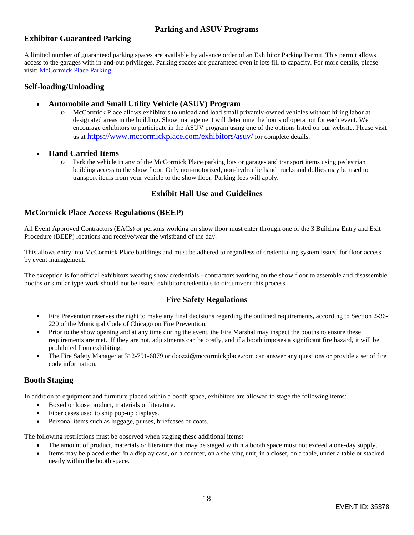### **Parking and ASUV Programs**

#### **Exhibitor Guaranteed Parking**

A limited number of guaranteed parking spaces are available by advance order of an Exhibitor Parking Permit. This permit allows access to the garages with in-and-out privileges. Parking spaces are guaranteed even if lots fill to capacity. For more details, please visit: [McCormick Place Parking](https://www.mccormick.parkingguide.com/) 

#### **Self-loading/Unloading**

- **Automobile and Small Utility Vehicle (ASUV) Program**
	- o McCormick Place allows exhibitors to unload and load small privately-owned vehicles without hiring labor at designated areas in the building. Show management will determine the hours of operation for each event. We encourage exhibitors to participate in the ASUV program using one of the options listed on our website. Please visit us at [https://www.mccormickplace.com/exhibitors/asuv/](https://nam12.safelinks.protection.outlook.com/?url=https%3A%2F%2Fwww.mccormickplace.com%2Fexhibitors%2Fasuv%2F&data=04%7C01%7C%7C6e8d7a7785d84b75b53008d9f620ba73%7C996017b1821f44dbb99fafc16f73f35a%7C0%7C0%7C637811442712197687%7CUnknown%7CTWFpbGZsb3d8eyJWIjoiMC4wLjAwMDAiLCJQIjoiV2luMzIiLCJBTiI6Ik1haWwiLCJXVCI6Mn0%3D%7C3000&sdata=JYnE6plAWoJH8IX462P0Sxj%2FVS48V9Je5fU5OnYUQRo%3D&reserved=0) for complete details.
- **Hand Carried Items**
	- o Park the vehicle in any of the McCormick Place parking lots or garages and transport items using pedestrian building access to the show floor. Only non-motorized, non-hydraulic hand trucks and dollies may be used to transport items from your vehicle to the show floor. Parking fees will apply.

### **Exhibit Hall Use and Guidelines**

#### **McCormick Place Access Regulations (BEEP)**

All Event Approved Contractors (EACs) or persons working on show floor must enter through one of the 3 Building Entry and Exit Procedure (BEEP) locations and receive/wear the wristband of the day.

This allows entry into McCormick Place buildings and must be adhered to regardless of credentialing system issued for floor access by event management.

The exception is for official exhibitors wearing show credentials - contractors working on the show floor to assemble and disassemble booths or similar type work should not be issued exhibitor credentials to circumvent this process.

### **Fire Safety Regulations**

- Fire Prevention reserves the right to make any final decisions regarding the outlined requirements, according to Section 2-36- 220 of the Municipal Code of Chicago on Fire Prevention.
- Prior to the show opening and at any time during the event, the Fire Marshal may inspect the booths to ensure these requirements are met. If they are not, adjustments can be costly, and if a booth imposes a significant fire hazard, it will be prohibited from exhibiting.
- The Fire Safety Manager at 312-791-6079 or dcozzi@mccormickplace.com can answer any questions or provide a set of fire code information.

#### **Booth Staging**

In addition to equipment and furniture placed within a booth space, exhibitors are allowed to stage the following items:

- Boxed or loose product, materials or literature.
- Fiber cases used to ship pop-up displays.
- Personal items such as luggage, purses, briefcases or coats.

The following restrictions must be observed when staging these additional items:

- The amount of product, materials or literature that may be staged within a booth space must not exceed a one-day supply.
- Items may be placed either in a display case, on a counter, on a shelving unit, in a closet, on a table, under a table or stacked neatly within the booth space.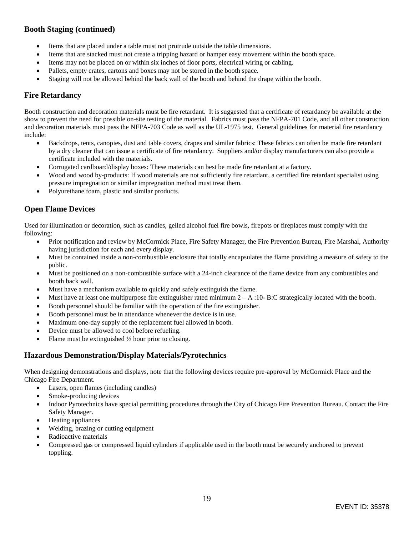### **Booth Staging (continued)**

- Items that are placed under a table must not protrude outside the table dimensions.
- Items that are stacked must not create a tripping hazard or hamper easy movement within the booth space.
- Items may not be placed on or within six inches of floor ports, electrical wiring or cabling.
- Pallets, empty crates, cartons and boxes may not be stored in the booth space.
- Staging will not be allowed behind the back wall of the booth and behind the drape within the booth.

### **Fire Retardancy**

Booth construction and decoration materials must be fire retardant. It is suggested that a certificate of retardancy be available at the show to prevent the need for possible on-site testing of the material. Fabrics must pass the NFPA-701 Code, and all other construction and decoration materials must pass the NFPA-703 Code as well as the UL-1975 test. General guidelines for material fire retardancy include:

- Backdrops, tents, canopies, dust and table covers, drapes and similar fabrics: These fabrics can often be made fire retardant by a dry cleaner that can issue a certificate of fire retardancy. Suppliers and/or display manufacturers can also provide a certificate included with the materials.
- Corrugated cardboard/display boxes: These materials can best be made fire retardant at a factory.
- Wood and wood by-products: If wood materials are not sufficiently fire retardant, a certified fire retardant specialist using pressure impregnation or similar impregnation method must treat them.
- Polyurethane foam, plastic and similar products.

### **Open Flame Devices**

Used for illumination or decoration, such as candles, gelled alcohol fuel fire bowls, firepots or fireplaces must comply with the following:

- Prior notification and review by McCormick Place, Fire Safety Manager, the Fire Prevention Bureau, Fire Marshal, Authority having jurisdiction for each and every display.
- Must be contained inside a non-combustible enclosure that totally encapsulates the flame providing a measure of safety to the public.
- Must be positioned on a non-combustible surface with a 24-inch clearance of the flame device from any combustibles and booth back wall.
- Must have a mechanism available to quickly and safely extinguish the flame.
- Must have at least one multipurpose fire extinguisher rated minimum  $2 A$ :10-B:C strategically located with the booth.
- Booth personnel should be familiar with the operation of the fire extinguisher.
- Booth personnel must be in attendance whenever the device is in use.
- Maximum one-day supply of the replacement fuel allowed in booth.
- Device must be allowed to cool before refueling.
- Flame must be extinguished ½ hour prior to closing.

### **Hazardous Demonstration/Display Materials/Pyrotechnics**

When designing demonstrations and displays, note that the following devices require pre-approval by McCormick Place and the Chicago Fire Department.

- Lasers, open flames (including candles)
- Smoke-producing devices
- Indoor Pyrotechnics have special permitting procedures through the City of Chicago Fire Prevention Bureau. Contact the Fire Safety Manager.
- Heating appliances
- Welding, brazing or cutting equipment
- Radioactive materials
- Compressed gas or compressed liquid cylinders if applicable used in the booth must be securely anchored to prevent toppling.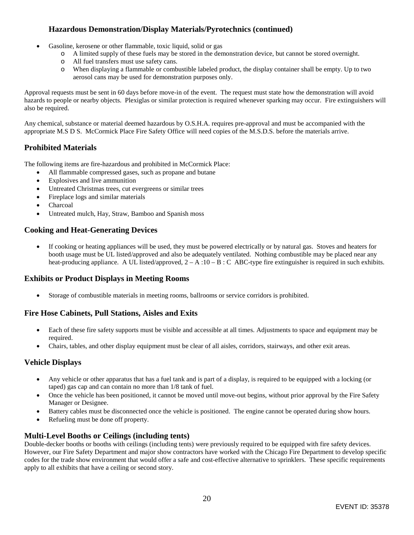### **Hazardous Demonstration/Display Materials/Pyrotechnics (continued)**

- Gasoline, kerosene or other flammable, toxic liquid, solid or gas
	- o A limited supply of these fuels may be stored in the demonstration device, but cannot be stored overnight.
	- o All fuel transfers must use safety cans.
	- o When displaying a flammable or combustible labeled product, the display container shall be empty. Up to two aerosol cans may be used for demonstration purposes only.

Approval requests must be sent in 60 days before move-in of the event. The request must state how the demonstration will avoid hazards to people or nearby objects. Plexiglas or similar protection is required whenever sparking may occur. Fire extinguishers will also be required.

Any chemical, substance or material deemed hazardous by O.S.H.A. requires pre-approval and must be accompanied with the appropriate M.S D S. McCormick Place Fire Safety Office will need copies of the M.S.D.S. before the materials arrive.

### **Prohibited Materials**

The following items are fire-hazardous and prohibited in McCormick Place:

- All flammable compressed gases, such as propane and butane
- Explosives and live ammunition
- Untreated Christmas trees, cut evergreens or similar trees
- Fireplace logs and similar materials
- Charcoal
- Untreated mulch, Hay, Straw, Bamboo and Spanish moss

### **Cooking and Heat-Generating Devices**

 If cooking or heating appliances will be used, they must be powered electrically or by natural gas. Stoves and heaters for booth usage must be UL listed/approved and also be adequately ventilated. Nothing combustible may be placed near any heat-producing appliance. A UL listed/approved,  $2 - A : 10 - B : C$  ABC-type fire extinguisher is required in such exhibits.

### **Exhibits or Product Displays in Meeting Rooms**

Storage of combustible materials in meeting rooms, ballrooms or service corridors is prohibited.

### **Fire Hose Cabinets, Pull Stations, Aisles and Exits**

- Each of these fire safety supports must be visible and accessible at all times. Adjustments to space and equipment may be required.
- Chairs, tables, and other display equipment must be clear of all aisles, corridors, stairways, and other exit areas.

#### **Vehicle Displays**

- Any vehicle or other apparatus that has a fuel tank and is part of a display, is required to be equipped with a locking (or taped) gas cap and can contain no more than 1/8 tank of fuel.
- Once the vehicle has been positioned, it cannot be moved until move-out begins, without prior approval by the Fire Safety Manager or Designee.
- Battery cables must be disconnected once the vehicle is positioned. The engine cannot be operated during show hours.
- Refueling must be done off property.

### **Multi-Level Booths or Ceilings (including tents)**

Double-decker booths or booths with ceilings (including tents) were previously required to be equipped with fire safety devices. However, our Fire Safety Department and major show contractors have worked with the Chicago Fire Department to develop specific codes for the trade show environment that would offer a safe and cost-effective alternative to sprinklers. These specific requirements apply to all exhibits that have a ceiling or second story.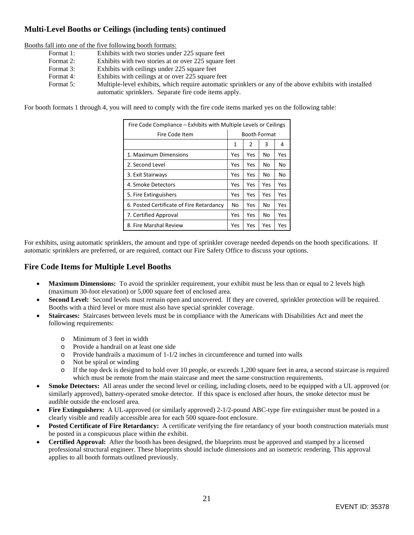### **Multi-Level Booths or Ceilings (including tents) continued**

Booths fall into one of the five following booth formats:

- Format 1: Exhibits with two stories under 225 square feet
- Format 2: Exhibits with two stories at or over 225 square feet
- Format 3: Exhibits with ceilings under 225 square feet
- Format 4: Exhibits with ceilings at or over 225 square feet
- Format 5: Multiple-level exhibits, which require automatic sprinklers or any of the above exhibits with installed automatic sprinklers. Separate fire code items apply.

For booth formats 1 through 4, you will need to comply with the fire code items marked yes on the following table:

| Fire Code Compliance – Exhibits with Multiple Levels or Ceilings |              |                |     |     |  |  |
|------------------------------------------------------------------|--------------|----------------|-----|-----|--|--|
| Fire Code Item                                                   | Booth Format |                |     |     |  |  |
|                                                                  | 1            | $\mathfrak{p}$ | 3   | 4   |  |  |
| 1. Maximum Dimensions                                            | Yes          | Yes            | No  | Yes |  |  |
| 2. Second Level                                                  | Yes          | Yes            | No  | No  |  |  |
| 3. Exit Stairways                                                | Yes          | Yes            | No  | No  |  |  |
| 4. Smoke Detectors                                               | Yes          | Yes            | Yes | Yes |  |  |
| 5. Fire Extinguishers                                            | Yes          | Yes            | Yes | Yes |  |  |
| 6. Posted Certificate of Fire Retardancy                         | No           | Yes            | No  | Yes |  |  |
| 7. Certified Approval                                            | Yes          | Yes            | No  | Yes |  |  |
| 8. Fire Marshal Review                                           | Yes          | Yes            | Yes | Yes |  |  |

For exhibits, using automatic sprinklers, the amount and type of sprinkler coverage needed depends on the booth specifications. If automatic sprinklers are preferred, or are required, contact our Fire Safety Office to discuss your options.

### **Fire Code Items for Multiple Level Booths**

- Maximum Dimensions: To avoid the sprinkler requirement, your exhibit must be less than or equal to 2 levels high (maximum 30-foot elevation) or 5,000 square feet of enclosed area.
- **Second Level:** Second levels must remain open and uncovered. If they are covered, sprinkler protection will be required. Booths with a third level or more must also have special sprinkler coverage.
- **Staircases:** Staircases between levels must be in compliance with the Americans with Disabilities Act and meet the following requirements:
	- o Minimum of 3 feet in width
	- o Provide a handrail on at least one side
	- $\circ$  Provide handrails a maximum of 1-1/2 inches in circumference and turned into walls
	- o Not be spiral or winding
	- o If the top deck is designed to hold over 10 people, or exceeds 1,200 square feet in area, a second staircase is required which must be remote from the main staircase and meet the same construction requirements.
- **Smoke Detectors:** All areas under the second level or ceiling, including closets, need to be equipped with a UL approved (or similarly approved), battery-operated smoke detector. If this space is enclosed after hours, the smoke detector must be audible outside the enclosed area.
- **Fire Extinguishers:** A UL-approved (or similarly approved) 2-1/2-pound ABC-type fire extinguisher must be posted in a clearly visible and readily accessible area for each 500 square-foot enclosure.
- **Posted Certificate of Fire Retardancy:** A certificate verifying the fire retardancy of your booth construction materials must be posted in a conspicuous place within the exhibit.
- **Certified Approval:** After the booth has been designed, the blueprints must be approved and stamped by a licensed professional structural engineer. These blueprints should include dimensions and an isometric rendering. This approval applies to all booth formats outlined previously.